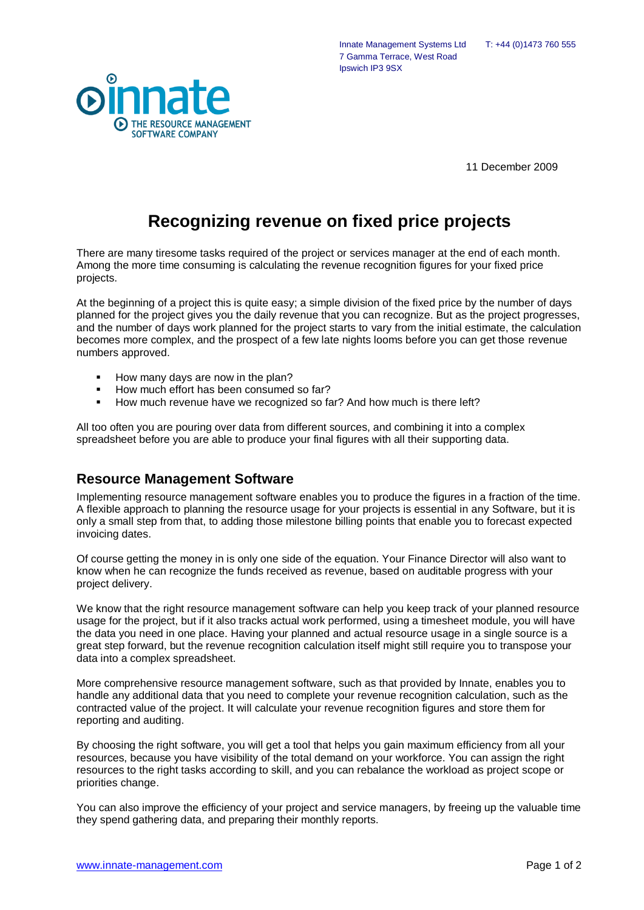

Innate Management Systems Ltd T: +44 (0)1473 760 555 7 Gamma Terrace, West Road Ipswich IP3 9SX

11 December 2009

## **Recognizing revenue on fixed price projects**

There are many tiresome tasks required of the project or services manager at the end of each month. Among the more time consuming is calculating the revenue recognition figures for your fixed price projects.

At the beginning of a project this is quite easy; a simple division of the fixed price by the number of days planned for the project gives you the daily revenue that you can recognize. But as the project progresses, and the number of days work planned for the project starts to vary from the initial estimate, the calculation becomes more complex, and the prospect of a few late nights looms before you can get those revenue numbers approved.

- How many days are now in the plan?
- How much effort has been consumed so far?
- How much revenue have we recognized so far? And how much is there left?

All too often you are pouring over data from different sources, and combining it into a complex spreadsheet before you are able to produce your final figures with all their supporting data.

## **Resource Management Software**

Implementing resource management software enables you to produce the figures in a fraction of the time. A flexible approach to planning the resource usage for your projects is essential in any Software, but it is only a small step from that, to adding those milestone billing points that enable you to forecast expected invoicing dates.

Of course getting the money in is only one side of the equation. Your Finance Director will also want to know when he can recognize the funds received as revenue, based on auditable progress with your project delivery.

We know that the right resource management software can help you keep track of your planned resource usage for the project, but if it also tracks actual work performed, using a timesheet module, you will have the data you need in one place. Having your planned and actual resource usage in a single source is a great step forward, but the revenue recognition calculation itself might still require you to transpose your data into a complex spreadsheet.

More comprehensive resource management software, such as that provided by Innate, enables you to handle any additional data that you need to complete your revenue recognition calculation, such as the contracted value of the project. It will calculate your revenue recognition figures and store them for reporting and auditing.

By choosing the right software, you will get a tool that helps you gain maximum efficiency from all your resources, because you have visibility of the total demand on your workforce. You can assign the right resources to the right tasks according to skill, and you can rebalance the workload as project scope or priorities change.

You can also improve the efficiency of your project and service managers, by freeing up the valuable time they spend gathering data, and preparing their monthly reports.